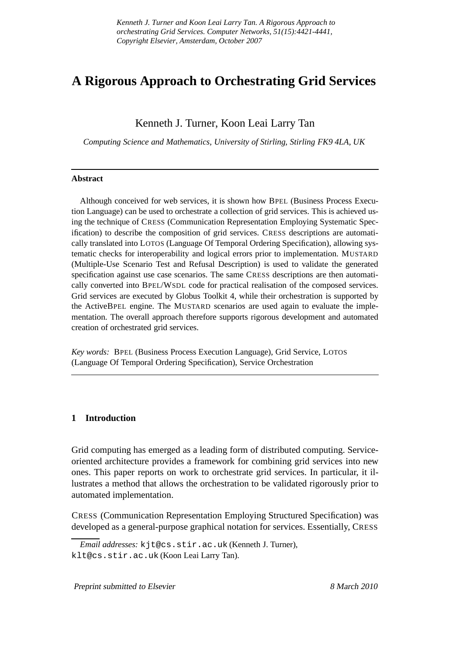# **A Rigorous Approach to Orchestrating Grid Services**

Kenneth J. Turner, Koon Leai Larry Tan

*Computing Science and Mathematics, University of Stirling, Stirling FK9 4LA, UK*

#### **Abstract**

Although conceived for web services, it is shown how BPEL (Business Process Execution Language) can be used to orchestrate a collection of grid services. This is achieved using the technique of CRESS (Communication Representation Employing Systematic Specification) to describe the composition of grid services. CRESS descriptions are automatically translated into LOTOS (Language Of Temporal Ordering Specification), allowing systematic checks for interoperability and logical errors prior to implementation. MUSTARD (Multiple-Use Scenario Test and Refusal Description) is used to validate the generated specification against use case scenarios. The same CRESS descriptions are then automatically converted into BPEL/WSDL code for practical realisation of the composed services. Grid services are executed by Globus Toolkit 4, while their orchestration is supported by the ActiveBPEL engine. The MUSTARD scenarios are used again to evaluate the implementation. The overall approach therefore supports rigorous development and automated creation of orchestrated grid services.

*Key words:* BPEL (Business Process Execution Language), Grid Service, LOTOS (Language Of Temporal Ordering Specification), Service Orchestration

## **1 Introduction**

Grid computing has emerged as a leading form of distributed computing. Serviceoriented architecture provides a framework for combining grid services into new ones. This paper reports on work to orchestrate grid services. In particular, it illustrates a method that allows the orchestration to be validated rigorously prior to automated implementation.

CRESS (Communication Representation Employing Structured Specification) was developed as a general-purpose graphical notation for services. Essentially, CRESS

*Email addresses:* kjt@cs.stir.ac.uk (Kenneth J. Turner), klt@cs.stir.ac.uk (Koon Leai Larry Tan).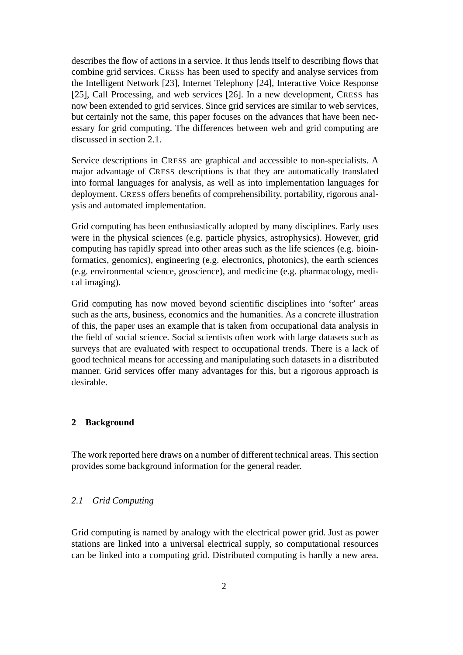describes the flow of actions in a service. It thus lends itself to describing flows that combine grid services. CRESS has been used to specify and analyse services from the Intelligent Network [23], Internet Telephony [24], Interactive Voice Response [25], Call Processing, and web services [26]. In a new development, CRESS has now been extended to grid services. Since grid services are similar to web services, but certainly not the same, this paper focuses on the advances that have been necessary for grid computing. The differences between web and grid computing are discussed in section 2.1.

Service descriptions in CRESS are graphical and accessible to non-specialists. A major advantage of CRESS descriptions is that they are automatically translated into formal languages for analysis, as well as into implementation languages for deployment. CRESS offers benefits of comprehensibility, portability, rigorous analysis and automated implementation.

Grid computing has been enthusiastically adopted by many disciplines. Early uses were in the physical sciences (e.g. particle physics, astrophysics). However, grid computing has rapidly spread into other areas such as the life sciences (e.g. bioinformatics, genomics), engineering (e.g. electronics, photonics), the earth sciences (e.g. environmental science, geoscience), and medicine (e.g. pharmacology, medical imaging).

Grid computing has now moved beyond scientific disciplines into 'softer' areas such as the arts, business, economics and the humanities. As a concrete illustration of this, the paper uses an example that is taken from occupational data analysis in the field of social science. Social scientists often work with large datasets such as surveys that are evaluated with respect to occupational trends. There is a lack of good technical means for accessing and manipulating such datasets in a distributed manner. Grid services offer many advantages for this, but a rigorous approach is desirable.

#### **2 Background**

The work reported here draws on a number of different technical areas. This section provides some background information for the general reader.

### *2.1 Grid Computing*

Grid computing is named by analogy with the electrical power grid. Just as power stations are linked into a universal electrical supply, so computational resources can be linked into a computing grid. Distributed computing is hardly a new area.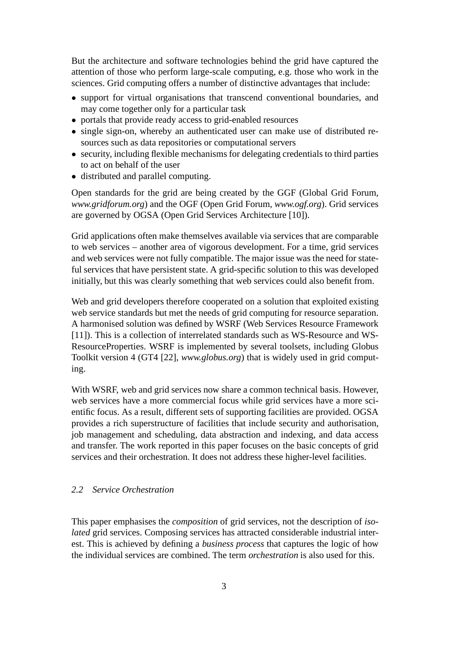But the architecture and software technologies behind the grid have captured the attention of those who perform large-scale computing, e.g. those who work in the sciences. Grid computing offers a number of distinctive advantages that include:

- support for virtual organisations that transcend conventional boundaries, and may come together only for a particular task
- portals that provide ready access to grid-enabled resources
- single sign-on, whereby an authenticated user can make use of distributed resources such as data repositories or computational servers
- security, including flexible mechanisms for delegating credentials to third parties to act on behalf of the user
- distributed and parallel computing.

Open standards for the grid are being created by the GGF (Global Grid Forum, *www.gridforum.org*) and the OGF (Open Grid Forum, *www.ogf.org*). Grid services are governed by OGSA (Open Grid Services Architecture [10]).

Grid applications often make themselves available via services that are comparable to web services – another area of vigorous development. For a time, grid services and web services were not fully compatible. The major issue was the need for stateful services that have persistent state. A grid-specific solution to this was developed initially, but this was clearly something that web services could also benefit from.

Web and grid developers therefore cooperated on a solution that exploited existing web service standards but met the needs of grid computing for resource separation. A harmonised solution was defined by WSRF (Web Services Resource Framework [11]). This is a collection of interrelated standards such as WS-Resource and WS-ResourceProperties. WSRF is implemented by several toolsets, including Globus Toolkit version 4 (GT4 [22], *www.globus.org*) that is widely used in grid computing.

With WSRF, web and grid services now share a common technical basis. However, web services have a more commercial focus while grid services have a more scientific focus. As a result, different sets of supporting facilities are provided. OGSA provides a rich superstructure of facilities that include security and authorisation, job management and scheduling, data abstraction and indexing, and data access and transfer. The work reported in this paper focuses on the basic concepts of grid services and their orchestration. It does not address these higher-level facilities.

### *2.2 Service Orchestration*

This paper emphasises the *composition* of grid services, not the description of *isolated* grid services. Composing services has attracted considerable industrial interest. This is achieved by defining a *business process* that captures the logic of how the individual services are combined. The term *orchestration* is also used for this.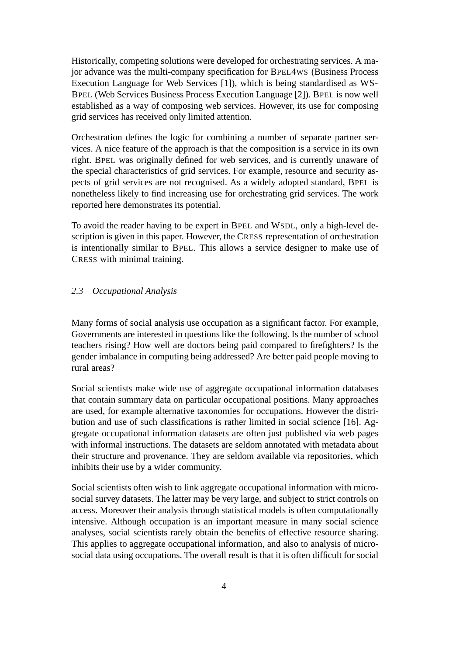Historically, competing solutions were developed for orchestrating services. A major advance was the multi-company specification for BPEL4WS (Business Process Execution Language for Web Services [1]), which is being standardised as WS-BPEL (Web Services Business Process Execution Language [2]). BPEL is now well established as a way of composing web services. However, its use for composing grid services has received only limited attention.

Orchestration defines the logic for combining a number of separate partner services. A nice feature of the approach is that the composition is a service in its own right. BPEL was originally defined for web services, and is currently unaware of the special characteristics of grid services. For example, resource and security aspects of grid services are not recognised. As a widely adopted standard, BPEL is nonetheless likely to find increasing use for orchestrating grid services. The work reported here demonstrates its potential.

To avoid the reader having to be expert in BPEL and WSDL, only a high-level description is given in this paper. However, the CRESS representation of orchestration is intentionally similar to BPEL. This allows a service designer to make use of CRESS with minimal training.

## *2.3 Occupational Analysis*

Many forms of social analysis use occupation as a significant factor. For example, Governments are interested in questions like the following. Is the number of school teachers rising? How well are doctors being paid compared to firefighters? Is the gender imbalance in computing being addressed? Are better paid people moving to rural areas?

Social scientists make wide use of aggregate occupational information databases that contain summary data on particular occupational positions. Many approaches are used, for example alternative taxonomies for occupations. However the distribution and use of such classifications is rather limited in social science [16]. Aggregate occupational information datasets are often just published via web pages with informal instructions. The datasets are seldom annotated with metadata about their structure and provenance. They are seldom available via repositories, which inhibits their use by a wider community.

Social scientists often wish to link aggregate occupational information with microsocial survey datasets. The latter may be very large, and subject to strict controls on access. Moreover their analysis through statistical models is often computationally intensive. Although occupation is an important measure in many social science analyses, social scientists rarely obtain the benefits of effective resource sharing. This applies to aggregate occupational information, and also to analysis of microsocial data using occupations. The overall result is that it is often difficult for social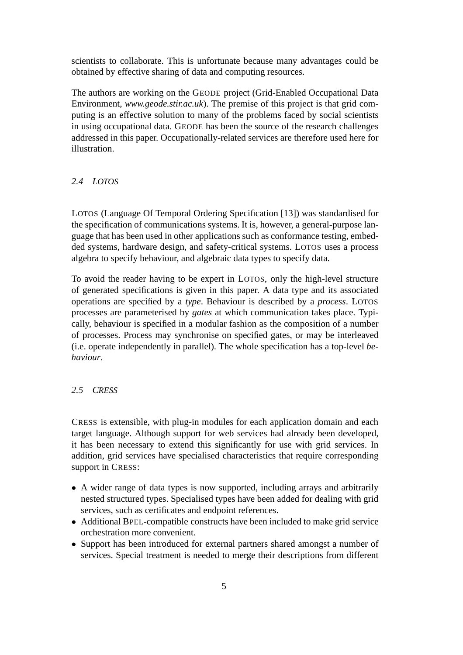scientists to collaborate. This is unfortunate because many advantages could be obtained by effective sharing of data and computing resources.

The authors are working on the GEODE project (Grid-Enabled Occupational Data Environment, *www.geode.stir.ac.uk*). The premise of this project is that grid computing is an effective solution to many of the problems faced by social scientists in using occupational data. GEODE has been the source of the research challenges addressed in this paper. Occupationally-related services are therefore used here for illustration.

## *2.4 LOTOS*

LOTOS (Language Of Temporal Ordering Specification [13]) was standardised for the specification of communications systems. It is, however, a general-purpose language that has been used in other applications such as conformance testing, embedded systems, hardware design, and safety-critical systems. LOTOS uses a process algebra to specify behaviour, and algebraic data types to specify data.

To avoid the reader having to be expert in LOTOS, only the high-level structure of generated specifications is given in this paper. A data type and its associated operations are specified by a *type*. Behaviour is described by a *process*. LOTOS processes are parameterised by *gates* at which communication takes place. Typically, behaviour is specified in a modular fashion as the composition of a number of processes. Process may synchronise on specified gates, or may be interleaved (i.e. operate independently in parallel). The whole specification has a top-level *behaviour*.

## *2.5 CRESS*

CRESS is extensible, with plug-in modules for each application domain and each target language. Although support for web services had already been developed, it has been necessary to extend this significantly for use with grid services. In addition, grid services have specialised characteristics that require corresponding support in CRESS:

- A wider range of data types is now supported, including arrays and arbitrarily nested structured types. Specialised types have been added for dealing with grid services, such as certificates and endpoint references.
- Additional BPEL-compatible constructs have been included to make grid service orchestration more convenient.
- Support has been introduced for external partners shared amongst a number of services. Special treatment is needed to merge their descriptions from different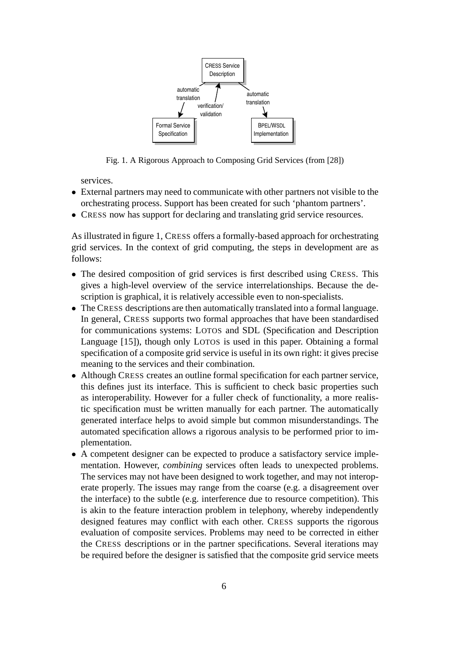

Fig. 1. A Rigorous Approach to Composing Grid Services (from [28])

services.

- External partners may need to communicate with other partners not visible to the orchestrating process. Support has been created for such 'phantom partners'.
- CRESS now has support for declaring and translating grid service resources.

As illustrated in figure 1, CRESS offers a formally-based approach for orchestrating grid services. In the context of grid computing, the steps in development are as follows:

- The desired composition of grid services is first described using CRESS. This gives a high-level overview of the service interrelationships. Because the description is graphical, it is relatively accessible even to non-specialists.
- The CRESS descriptions are then automatically translated into a formal language. In general, CRESS supports two formal approaches that have been standardised for communications systems: LOTOS and SDL (Specification and Description Language [15]), though only LOTOS is used in this paper. Obtaining a formal specification of a composite grid service is useful in its own right: it gives precise meaning to the services and their combination.
- Although CRESS creates an outline formal specification for each partner service, this defines just its interface. This is sufficient to check basic properties such as interoperability. However for a fuller check of functionality, a more realistic specification must be written manually for each partner. The automatically generated interface helps to avoid simple but common misunderstandings. The automated specification allows a rigorous analysis to be performed prior to implementation.
- A competent designer can be expected to produce a satisfactory service implementation. However, *combining* services often leads to unexpected problems. The services may not have been designed to work together, and may not interoperate properly. The issues may range from the coarse (e.g. a disagreement over the interface) to the subtle (e.g. interference due to resource competition). This is akin to the feature interaction problem in telephony, whereby independently designed features may conflict with each other. CRESS supports the rigorous evaluation of composite services. Problems may need to be corrected in either the CRESS descriptions or in the partner specifications. Several iterations may be required before the designer is satisfied that the composite grid service meets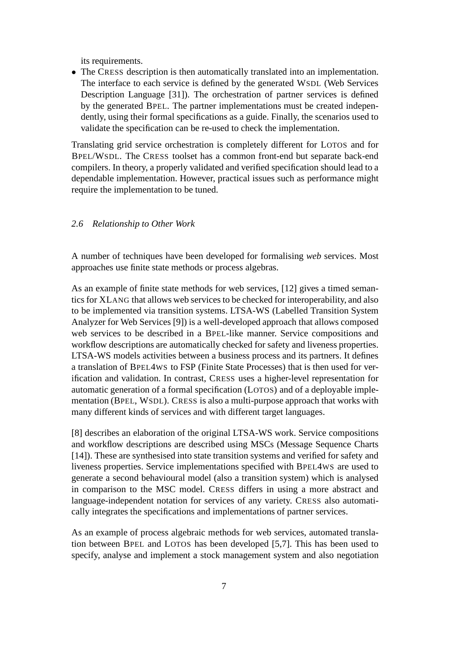its requirements.

• The CRESS description is then automatically translated into an implementation. The interface to each service is defined by the generated WSDL (Web Services Description Language [31]). The orchestration of partner services is defined by the generated BPEL. The partner implementations must be created independently, using their formal specifications as a guide. Finally, the scenarios used to validate the specification can be re-used to check the implementation.

Translating grid service orchestration is completely different for LOTOS and for BPEL/WSDL. The CRESS toolset has a common front-end but separate back-end compilers. In theory, a properly validated and verified specification should lead to a dependable implementation. However, practical issues such as performance might require the implementation to be tuned.

#### *2.6 Relationship to Other Work*

A number of techniques have been developed for formalising *web* services. Most approaches use finite state methods or process algebras.

As an example of finite state methods for web services, [12] gives a timed semantics for XLANG that allows web services to be checked for interoperability, and also to be implemented via transition systems. LTSA-WS (Labelled Transition System Analyzer for Web Services [9]) is a well-developed approach that allows composed web services to be described in a BPEL-like manner. Service compositions and workflow descriptions are automatically checked for safety and liveness properties. LTSA-WS models activities between a business process and its partners. It defines a translation of BPEL4WS to FSP (Finite State Processes) that is then used for verification and validation. In contrast, CRESS uses a higher-level representation for automatic generation of a formal specification (LOTOS) and of a deployable implementation (BPEL, WSDL). CRESS is also a multi-purpose approach that works with many different kinds of services and with different target languages.

[8] describes an elaboration of the original LTSA-WS work. Service compositions and workflow descriptions are described using MSCs (Message Sequence Charts [14]). These are synthesised into state transition systems and verified for safety and liveness properties. Service implementations specified with BPEL4WS are used to generate a second behavioural model (also a transition system) which is analysed in comparison to the MSC model. CRESS differs in using a more abstract and language-independent notation for services of any variety. CRESS also automatically integrates the specifications and implementations of partner services.

As an example of process algebraic methods for web services, automated translation between BPEL and LOTOS has been developed [5,7]. This has been used to specify, analyse and implement a stock management system and also negotiation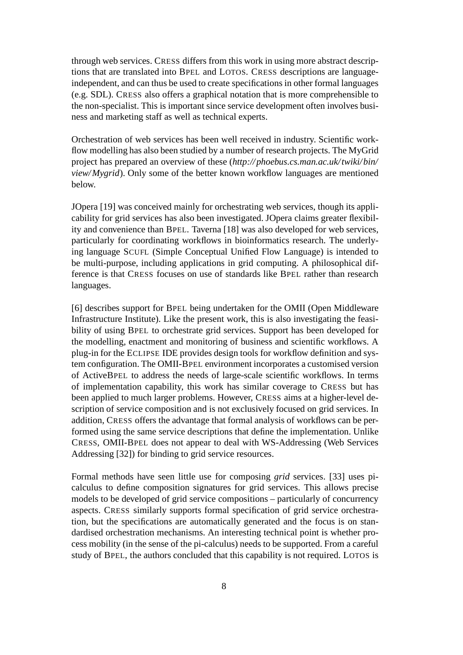through web services. CRESS differs from this work in using more abstract descriptions that are translated into BPEL and LOTOS. CRESS descriptions are languageindependent, and can thus be used to create specifications in other formal languages (e.g. SDL). CRESS also offers a graphical notation that is more comprehensible to the non-specialist. This is important since service development often involves business and marketing staff as well as technical experts.

Orchestration of web services has been well received in industry. Scientific workflow modelling has also been studied by a number of research projects. The MyGrid project has prepared an overview of these (*http://phoebus.cs.man.ac.uk/twiki/bin/ view/Mygrid*). Only some of the better known workflow languages are mentioned below.

JOpera [19] was conceived mainly for orchestrating web services, though its applicability for grid services has also been investigated. JOpera claims greater flexibility and convenience than BPEL. Taverna [18] was also developed for web services, particularly for coordinating workflows in bioinformatics research. The underlying language SCUFL (Simple Conceptual Unified Flow Language) is intended to be multi-purpose, including applications in grid computing. A philosophical difference is that CRESS focuses on use of standards like BPEL rather than research languages.

[6] describes support for BPEL being undertaken for the OMII (Open Middleware Infrastructure Institute). Like the present work, this is also investigating the feasibility of using BPEL to orchestrate grid services. Support has been developed for the modelling, enactment and monitoring of business and scientific workflows. A plug-in for the ECLIPSE IDE provides design tools for workflow definition and system configuration. The OMII-BPEL environment incorporates a customised version of ActiveBPEL to address the needs of large-scale scientific workflows. In terms of implementation capability, this work has similar coverage to CRESS but has been applied to much larger problems. However, CRESS aims at a higher-level description of service composition and is not exclusively focused on grid services. In addition, CRESS offers the advantage that formal analysis of workflows can be performed using the same service descriptions that define the implementation. Unlike CRESS, OMII-BPEL does not appear to deal with WS-Addressing (Web Services Addressing [32]) for binding to grid service resources.

Formal methods have seen little use for composing *grid* services. [33] uses picalculus to define composition signatures for grid services. This allows precise models to be developed of grid service compositions – particularly of concurrency aspects. CRESS similarly supports formal specification of grid service orchestration, but the specifications are automatically generated and the focus is on standardised orchestration mechanisms. An interesting technical point is whether process mobility (in the sense of the pi-calculus) needs to be supported. From a careful study of BPEL, the authors concluded that this capability is not required. LOTOS is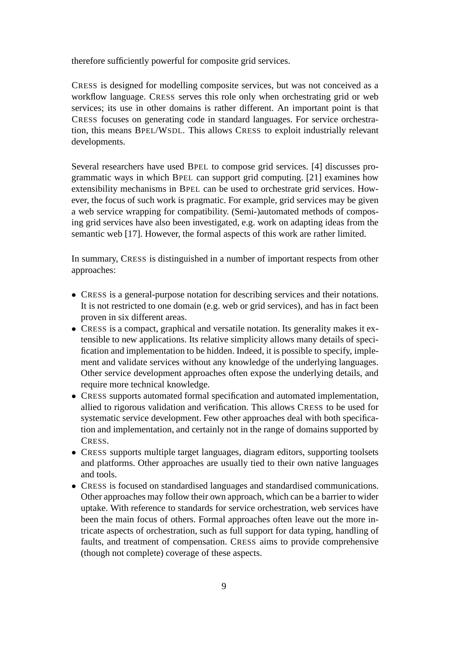therefore sufficiently powerful for composite grid services.

CRESS is designed for modelling composite services, but was not conceived as a workflow language. CRESS serves this role only when orchestrating grid or web services; its use in other domains is rather different. An important point is that CRESS focuses on generating code in standard languages. For service orchestration, this means BPEL/WSDL. This allows CRESS to exploit industrially relevant developments.

Several researchers have used BPEL to compose grid services. [4] discusses programmatic ways in which BPEL can support grid computing. [21] examines how extensibility mechanisms in BPEL can be used to orchestrate grid services. However, the focus of such work is pragmatic. For example, grid services may be given a web service wrapping for compatibility. (Semi-)automated methods of composing grid services have also been investigated, e.g. work on adapting ideas from the semantic web [17]. However, the formal aspects of this work are rather limited.

In summary, CRESS is distinguished in a number of important respects from other approaches:

- CRESS is a general-purpose notation for describing services and their notations. It is not restricted to one domain (e.g. web or grid services), and has in fact been proven in six different areas.
- CRESS is a compact, graphical and versatile notation. Its generality makes it extensible to new applications. Its relative simplicity allows many details of specification and implementation to be hidden. Indeed, it is possible to specify, implement and validate services without any knowledge of the underlying languages. Other service development approaches often expose the underlying details, and require more technical knowledge.
- CRESS supports automated formal specification and automated implementation, allied to rigorous validation and verification. This allows CRESS to be used for systematic service development. Few other approaches deal with both specification and implementation, and certainly not in the range of domains supported by CRESS.
- CRESS supports multiple target languages, diagram editors, supporting toolsets and platforms. Other approaches are usually tied to their own native languages and tools.
- CRESS is focused on standardised languages and standardised communications. Other approaches may follow their own approach, which can be a barrier to wider uptake. With reference to standards for service orchestration, web services have been the main focus of others. Formal approaches often leave out the more intricate aspects of orchestration, such as full support for data typing, handling of faults, and treatment of compensation. CRESS aims to provide comprehensive (though not complete) coverage of these aspects.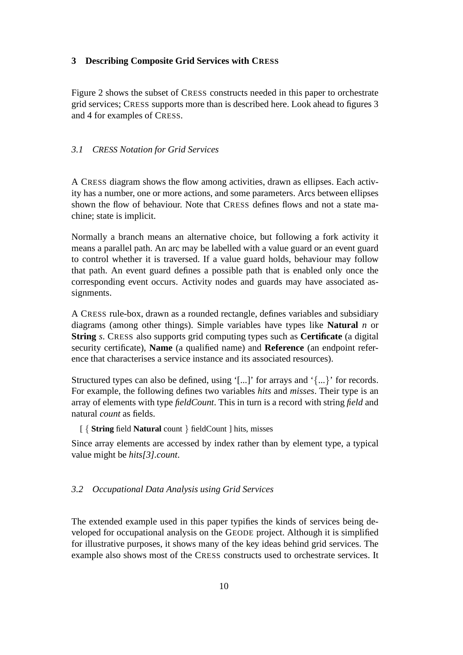#### **3 Describing Composite Grid Services with CRESS**

Figure 2 shows the subset of CRESS constructs needed in this paper to orchestrate grid services; CRESS supports more than is described here. Look ahead to figures 3 and 4 for examples of CRESS.

#### *3.1 CRESS Notation for Grid Services*

A CRESS diagram shows the flow among activities, drawn as ellipses. Each activity has a number, one or more actions, and some parameters. Arcs between ellipses shown the flow of behaviour. Note that CRESS defines flows and not a state machine; state is implicit.

Normally a branch means an alternative choice, but following a fork activity it means a parallel path. An arc may be labelled with a value guard or an event guard to control whether it is traversed. If a value guard holds, behaviour may follow that path. An event guard defines a possible path that is enabled only once the corresponding event occurs. Activity nodes and guards may have associated assignments.

A CRESS rule-box, drawn as a rounded rectangle, defines variables and subsidiary diagrams (among other things). Simple variables have types like **Natural** *n* or **String** *s*. CRESS also supports grid computing types such as **Certificate** (a digital security certificate), **Name** (a qualified name) and **Reference** (an endpoint reference that characterises a service instance and its associated resources).

Structured types can also be defined, using '[...]' for arrays and '{...}' for records. For example, the following defines two variables *hits* and *misses*. Their type is an array of elements with type *fieldCount*. This in turn is a record with string *field* and natural *count* as fields.

[ { **String** field **Natural** count } fieldCount ] hits, misses

Since array elements are accessed by index rather than by element type, a typical value might be *hits[3].count*.

#### *3.2 Occupational Data Analysis using Grid Services*

The extended example used in this paper typifies the kinds of services being developed for occupational analysis on the GEODE project. Although it is simplified for illustrative purposes, it shows many of the key ideas behind grid services. The example also shows most of the CRESS constructs used to orchestrate services. It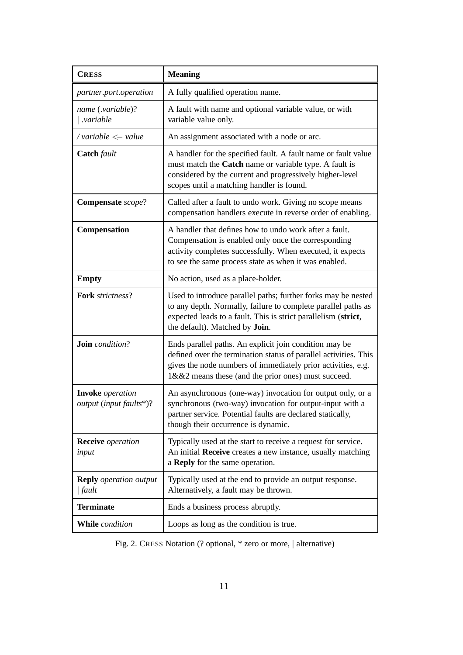| <b>CRESS</b>                                | <b>Meaning</b>                                                                                                                                                                                                                                    |
|---------------------------------------------|---------------------------------------------------------------------------------------------------------------------------------------------------------------------------------------------------------------------------------------------------|
| partner.port.operation                      | A fully qualified operation name.                                                                                                                                                                                                                 |
| name (.variable)?<br>.variable              | A fault with name and optional variable value, or with<br>variable value only.                                                                                                                                                                    |
| $\sqrt{x}$ variable $\lt$ value             | An assignment associated with a node or arc.                                                                                                                                                                                                      |
| <b>Catch</b> fault                          | A handler for the specified fault. A fault name or fault value<br>must match the Catch name or variable type. A fault is<br>considered by the current and progressively higher-level<br>scopes until a matching handler is found.                 |
| Compensate scope?                           | Called after a fault to undo work. Giving no scope means<br>compensation handlers execute in reverse order of enabling.                                                                                                                           |
| Compensation                                | A handler that defines how to undo work after a fault.<br>Compensation is enabled only once the corresponding<br>activity completes successfully. When executed, it expects<br>to see the same process state as when it was enabled.              |
| <b>Empty</b>                                | No action, used as a place-holder.                                                                                                                                                                                                                |
| Fork strictness?                            | Used to introduce parallel paths; further forks may be nested<br>to any depth. Normally, failure to complete parallel paths as<br>expected leads to a fault. This is strict parallelism (strict,<br>the default). Matched by Join.                |
| Join condition?                             | Ends parallel paths. An explicit join condition may be<br>defined over the termination status of parallel activities. This<br>gives the node numbers of immediately prior activities, e.g.<br>1&&2 means these (and the prior ones) must succeed. |
| Invoke operation<br>output (input faults*)? | An asynchronous (one-way) invocation for output only, or a<br>synchronous (two-way) invocation for output-input with a<br>partner service. Potential faults are declared statically,<br>though their occurrence is dynamic.                       |
| <b>Receive</b> operation<br>input           | Typically used at the start to receive a request for service.<br>An initial Receive creates a new instance, usually matching<br>a Reply for the same operation.                                                                                   |
| <b>Reply</b> operation output<br>fault      | Typically used at the end to provide an output response.<br>Alternatively, a fault may be thrown.                                                                                                                                                 |
| Terminate                                   | Ends a business process abruptly.                                                                                                                                                                                                                 |
| While condition                             | Loops as long as the condition is true.                                                                                                                                                                                                           |

Fig. 2. CRESS Notation (? optional, \* zero or more, | alternative)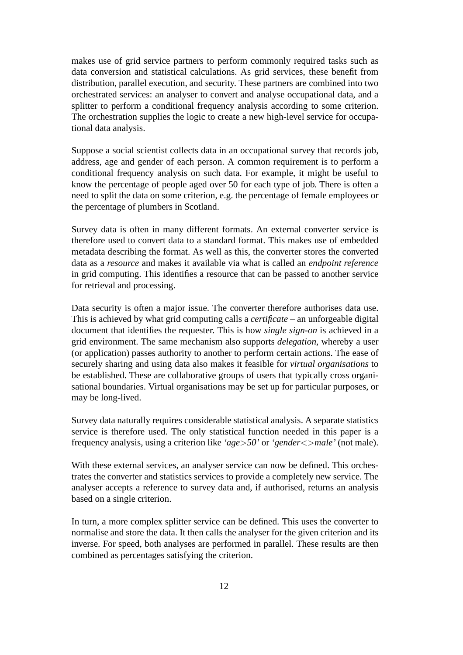makes use of grid service partners to perform commonly required tasks such as data conversion and statistical calculations. As grid services, these benefit from distribution, parallel execution, and security. These partners are combined into two orchestrated services: an analyser to convert and analyse occupational data, and a splitter to perform a conditional frequency analysis according to some criterion. The orchestration supplies the logic to create a new high-level service for occupational data analysis.

Suppose a social scientist collects data in an occupational survey that records job, address, age and gender of each person. A common requirement is to perform a conditional frequency analysis on such data. For example, it might be useful to know the percentage of people aged over 50 for each type of job. There is often a need to split the data on some criterion, e.g. the percentage of female employees or the percentage of plumbers in Scotland.

Survey data is often in many different formats. An external converter service is therefore used to convert data to a standard format. This makes use of embedded metadata describing the format. As well as this, the converter stores the converted data as a *resource* and makes it available via what is called an *endpoint reference* in grid computing. This identifies a resource that can be passed to another service for retrieval and processing.

Data security is often a major issue. The converter therefore authorises data use. This is achieved by what grid computing calls a *certificate* – an unforgeable digital document that identifies the requester. This is how *single sign-on* is achieved in a grid environment. The same mechanism also supports *delegation*, whereby a user (or application) passes authority to another to perform certain actions. The ease of securely sharing and using data also makes it feasible for *virtual organisations* to be established. These are collaborative groups of users that typically cross organisational boundaries. Virtual organisations may be set up for particular purposes, or may be long-lived.

Survey data naturally requires considerable statistical analysis. A separate statistics service is therefore used. The only statistical function needed in this paper is a frequency analysis, using a criterion like *'age*>*50'* or *'gender*<>*male'* (not male).

With these external services, an analyser service can now be defined. This orchestrates the converter and statistics services to provide a completely new service. The analyser accepts a reference to survey data and, if authorised, returns an analysis based on a single criterion.

In turn, a more complex splitter service can be defined. This uses the converter to normalise and store the data. It then calls the analyser for the given criterion and its inverse. For speed, both analyses are performed in parallel. These results are then combined as percentages satisfying the criterion.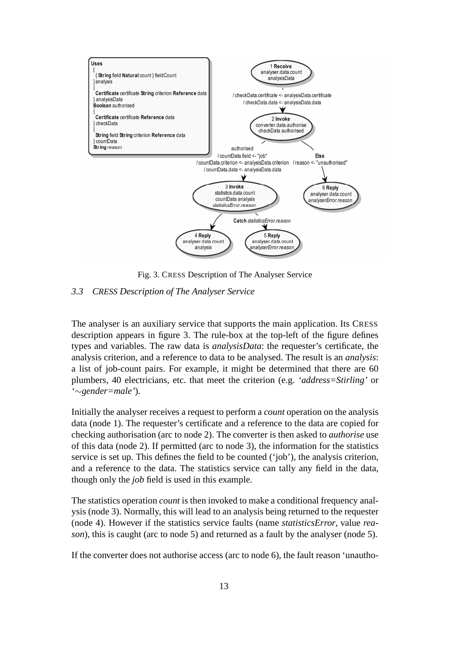

Fig. 3. CRESS Description of The Analyser Service

#### *3.3 CRESS Description of The Analyser Service*

The analyser is an auxiliary service that supports the main application. Its CRESS description appears in figure 3. The rule-box at the top-left of the figure defines types and variables. The raw data is *analysisData*: the requester's certificate, the analysis criterion, and a reference to data to be analysed. The result is an *analysis*: a list of job-count pairs. For example, it might be determined that there are 60 plumbers, 40 electricians, etc. that meet the criterion (e.g. *'address=Stirling'* or *'*∼*gender=male'*).

Initially the analyser receives a request to perform a *count* operation on the analysis data (node 1). The requester's certificate and a reference to the data are copied for checking authorisation (arc to node 2). The converter is then asked to *authorise* use of this data (node 2). If permitted (arc to node 3), the information for the statistics service is set up. This defines the field to be counted ('job'), the analysis criterion, and a reference to the data. The statistics service can tally any field in the data, though only the *job* field is used in this example.

The statistics operation *count* is then invoked to make a conditional frequency analysis (node 3). Normally, this will lead to an analysis being returned to the requester (node 4). However if the statistics service faults (name *statisticsError*, value *reason*), this is caught (arc to node 5) and returned as a fault by the analyser (node 5).

If the converter does not authorise access (arc to node 6), the fault reason 'unautho-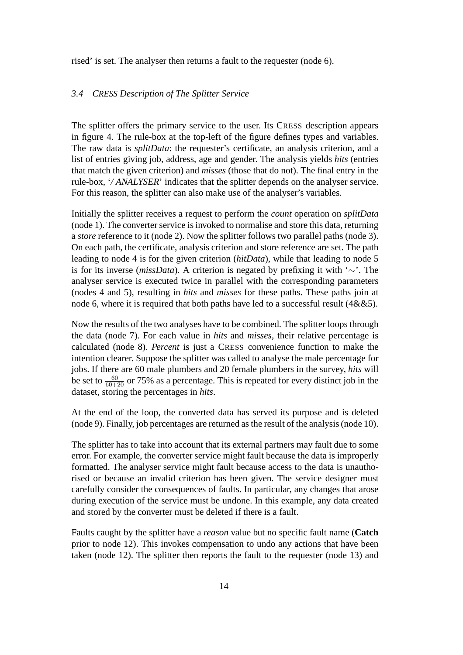rised' is set. The analyser then returns a fault to the requester (node 6).

#### *3.4 CRESS Description of The Splitter Service*

The splitter offers the primary service to the user. Its CRESS description appears in figure 4. The rule-box at the top-left of the figure defines types and variables. The raw data is *splitData*: the requester's certificate, an analysis criterion, and a list of entries giving job, address, age and gender. The analysis yields *hits* (entries that match the given criterion) and *misses* (those that do not). The final entry in the rule-box, '*/ ANALYSER*' indicates that the splitter depends on the analyser service. For this reason, the splitter can also make use of the analyser's variables.

Initially the splitter receives a request to perform the *count* operation on *splitData* (node 1). The converter service is invoked to normalise and store this data, returning a *store* reference to it (node 2). Now the splitter follows two parallel paths (node 3). On each path, the certificate, analysis criterion and store reference are set. The path leading to node 4 is for the given criterion (*hitData*), while that leading to node 5 is for its inverse (*missData*). A criterion is negated by prefixing it with '∼'. The analyser service is executed twice in parallel with the corresponding parameters (nodes 4 and 5), resulting in *hits* and *misses* for these paths. These paths join at node 6, where it is required that both paths have led to a successful result  $(4&&5)$ .

Now the results of the two analyses have to be combined. The splitter loops through the data (node 7). For each value in *hits* and *misses*, their relative percentage is calculated (node 8). *Percent* is just a CRESS convenience function to make the intention clearer. Suppose the splitter was called to analyse the male percentage for jobs. If there are 60 male plumbers and 20 female plumbers in the survey, *hits* will be set to  $\frac{60}{60+20}$  or 75% as a percentage. This is repeated for every distinct job in the dataset, storing the percentages in *hits*.

At the end of the loop, the converted data has served its purpose and is deleted (node 9). Finally, job percentages are returned as the result of the analysis (node 10).

The splitter has to take into account that its external partners may fault due to some error. For example, the converter service might fault because the data is improperly formatted. The analyser service might fault because access to the data is unauthorised or because an invalid criterion has been given. The service designer must carefully consider the consequences of faults. In particular, any changes that arose during execution of the service must be undone. In this example, any data created and stored by the converter must be deleted if there is a fault.

Faults caught by the splitter have a *reason* value but no specific fault name (**Catch** prior to node 12). This invokes compensation to undo any actions that have been taken (node 12). The splitter then reports the fault to the requester (node 13) and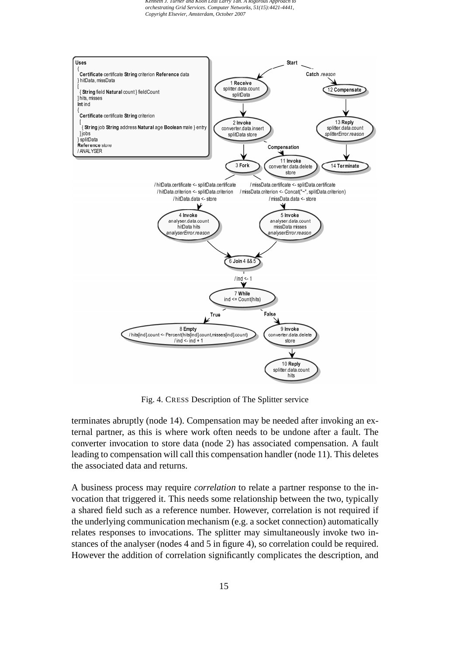*Kenneth J. Turner and Koon Leai Larry Tan. A Rigorous Approach to orchestrating Grid Services. Computer Networks, 51(15):4421-4441, Copyright Elsevier, Amsterdam, October 2007*



Fig. 4. CRESS Description of The Splitter service

terminates abruptly (node 14). Compensation may be needed after invoking an external partner, as this is where work often needs to be undone after a fault. The converter invocation to store data (node 2) has associated compensation. A fault leading to compensation will call this compensation handler (node 11). This deletes the associated data and returns.

A business process may require *correlation* to relate a partner response to the invocation that triggered it. This needs some relationship between the two, typically a shared field such as a reference number. However, correlation is not required if the underlying communication mechanism (e.g. a socket connection) automatically relates responses to invocations. The splitter may simultaneously invoke two instances of the analyser (nodes 4 and 5 in figure 4), so correlation could be required. However the addition of correlation significantly complicates the description, and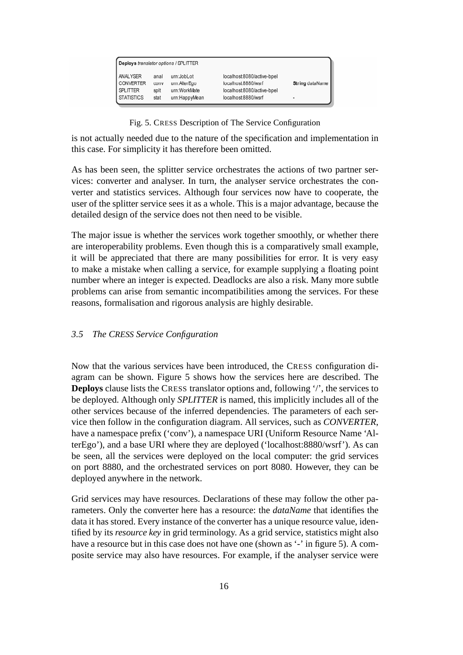| Deploys translator options / SPLITTER                                |                              |                                                             |                                                                                                        |                 |
|----------------------------------------------------------------------|------------------------------|-------------------------------------------------------------|--------------------------------------------------------------------------------------------------------|-----------------|
| <b>ANALYSER</b><br>CONVERTER<br><b>SPLITTER</b><br><b>STATISTICS</b> | anal<br>conv<br>splt<br>stat | urn:JobLot<br>urn:AlterEgo<br>urn:WorkMate<br>urn:HappyMean | localhost:8080/active-bpel<br>localhost:8880/wsrf<br>localhost:8080/active-bpel<br>localhost:8880/wsrf | String dataName |

Fig. 5. CRESS Description of The Service Configuration

is not actually needed due to the nature of the specification and implementation in this case. For simplicity it has therefore been omitted.

As has been seen, the splitter service orchestrates the actions of two partner services: converter and analyser. In turn, the analyser service orchestrates the converter and statistics services. Although four services now have to cooperate, the user of the splitter service sees it as a whole. This is a major advantage, because the detailed design of the service does not then need to be visible.

The major issue is whether the services work together smoothly, or whether there are interoperability problems. Even though this is a comparatively small example, it will be appreciated that there are many possibilities for error. It is very easy to make a mistake when calling a service, for example supplying a floating point number where an integer is expected. Deadlocks are also a risk. Many more subtle problems can arise from semantic incompatibilities among the services. For these reasons, formalisation and rigorous analysis are highly desirable.

## *3.5 The CRESS Service Configuration*

Now that the various services have been introduced, the CRESS configuration diagram can be shown. Figure 5 shows how the services here are described. The **Deploys** clause lists the CRESS translator options and, following '/', the services to be deployed. Although only *SPLITTER* is named, this implicitly includes all of the other services because of the inferred dependencies. The parameters of each service then follow in the configuration diagram. All services, such as *CONVERTER*, have a namespace prefix ('conv'), a namespace URI (Uniform Resource Name 'AlterEgo'), and a base URI where they are deployed ('localhost:8880/wsrf'). As can be seen, all the services were deployed on the local computer: the grid services on port 8880, and the orchestrated services on port 8080. However, they can be deployed anywhere in the network.

Grid services may have resources. Declarations of these may follow the other parameters. Only the converter here has a resource: the *dataName* that identifies the data it has stored. Every instance of the converter has a unique resource value, identified by its *resource key* in grid terminology. As a grid service, statistics might also have a resource but in this case does not have one (shown as '-' in figure 5). A composite service may also have resources. For example, if the analyser service were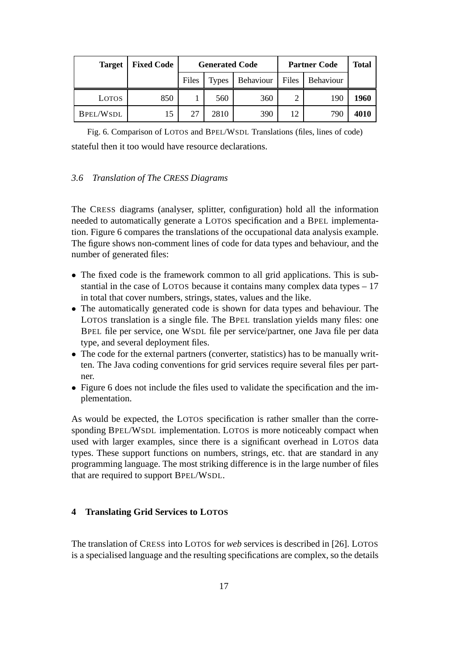| <b>Target</b>    | <b>Fixed Code</b> | <b>Generated Code</b> |              |           | <b>Partner Code</b> |           | <b>Total</b> |
|------------------|-------------------|-----------------------|--------------|-----------|---------------------|-----------|--------------|
|                  |                   | Files                 | <b>Types</b> | Behaviour | Files               | Behaviour |              |
| LOTOS            | 850               |                       | 560          | 360       |                     | 190       | 1960         |
| <b>BPEL/WSDL</b> | 15                | 27                    | 2810         | 390       | 12                  | 790       | 4010         |

Fig. 6. Comparison of LOTOS and BPEL/WSDL Translations (files, lines of code) stateful then it too would have resource declarations.

#### *3.6 Translation of The CRESS Diagrams*

The CRESS diagrams (analyser, splitter, configuration) hold all the information needed to automatically generate a LOTOS specification and a BPEL implementation. Figure 6 compares the translations of the occupational data analysis example. The figure shows non-comment lines of code for data types and behaviour, and the number of generated files:

- The fixed code is the framework common to all grid applications. This is substantial in the case of LOTOS because it contains many complex data types – 17 in total that cover numbers, strings, states, values and the like.
- The automatically generated code is shown for data types and behaviour. The LOTOS translation is a single file. The BPEL translation yields many files: one BPEL file per service, one WSDL file per service/partner, one Java file per data type, and several deployment files.
- The code for the external partners (converter, statistics) has to be manually written. The Java coding conventions for grid services require several files per partner.
- Figure 6 does not include the files used to validate the specification and the implementation.

As would be expected, the LOTOS specification is rather smaller than the corresponding BPEL/WSDL implementation. LOTOS is more noticeably compact when used with larger examples, since there is a significant overhead in LOTOS data types. These support functions on numbers, strings, etc. that are standard in any programming language. The most striking difference is in the large number of files that are required to support BPEL/WSDL.

#### **4 Translating Grid Services to LOTOS**

The translation of CRESS into LOTOS for *web* services is described in [26]. LOTOS is a specialised language and the resulting specifications are complex, so the details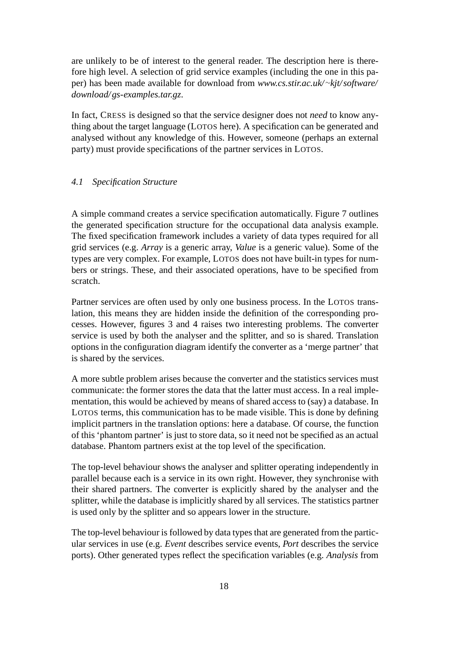are unlikely to be of interest to the general reader. The description here is therefore high level. A selection of grid service examples (including the one in this paper) has been made available for download from *www.cs.stir.ac.uk/* <sup>∼</sup>*kjt/software/ download/gs-examples.tar.gz*.

In fact, CRESS is designed so that the service designer does not *need* to know anything about the target language (LOTOS here). A specification can be generated and analysed without any knowledge of this. However, someone (perhaps an external party) must provide specifications of the partner services in LOTOS.

#### *4.1 Specification Structure*

A simple command creates a service specification automatically. Figure 7 outlines the generated specification structure for the occupational data analysis example. The fixed specification framework includes a variety of data types required for all grid services (e.g. *Array* is a generic array, *Value* is a generic value). Some of the types are very complex. For example, LOTOS does not have built-in types for numbers or strings. These, and their associated operations, have to be specified from scratch.

Partner services are often used by only one business process. In the LOTOS translation, this means they are hidden inside the definition of the corresponding processes. However, figures 3 and 4 raises two interesting problems. The converter service is used by both the analyser and the splitter, and so is shared. Translation options in the configuration diagram identify the converter as a 'merge partner' that is shared by the services.

A more subtle problem arises because the converter and the statistics services must communicate: the former stores the data that the latter must access. In a real implementation, this would be achieved by means of shared access to (say) a database. In LOTOS terms, this communication has to be made visible. This is done by defining implicit partners in the translation options: here a database. Of course, the function of this 'phantom partner' is just to store data, so it need not be specified as an actual database. Phantom partners exist at the top level of the specification.

The top-level behaviour shows the analyser and splitter operating independently in parallel because each is a service in its own right. However, they synchronise with their shared partners. The converter is explicitly shared by the analyser and the splitter, while the database is implicitly shared by all services. The statistics partner is used only by the splitter and so appears lower in the structure.

The top-level behaviour is followed by data types that are generated from the particular services in use (e.g. *Event* describes service events, *Port* describes the service ports). Other generated types reflect the specification variables (e.g. *Analysis* from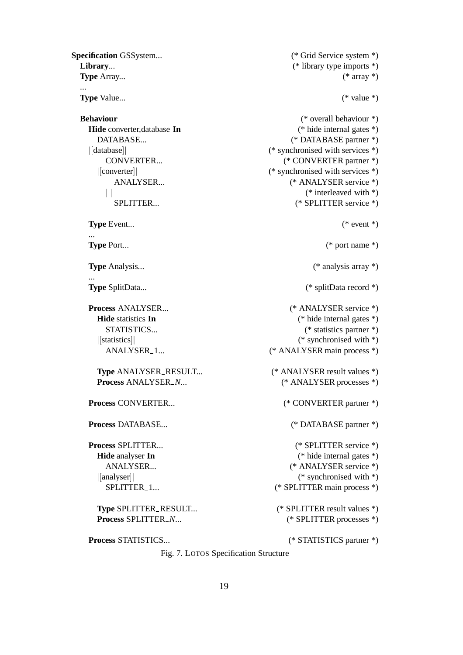**Specification** GSSystem... (\* Grid Service system \*) Library... (\* library type imports \*)

...

**Type** Event... (\* event \*)

...

...

**Type** ANALYSER RESULT... (\* ANALYSER result values \*)

**Type** SPLITTER\_RESULT... (\* SPLITTER result values \*) **Process** SPLITTER *N*... (\* SPLITTER processes \*)

**Type** Array... (\* array \*) **Type** Value... (\* value \*) **Behaviour** (\* overall behaviour \*) **Hide** converter,database **In** (\* hide internal gates \*) DATABASE... (\* DATABASE partner \*) |[database]| (\* synchronised with services \*) CONVERTER... (\* CONVERTER partner \*) |[converter]| (\* synchronised with services \*) ANALYSER... (\* ANALYSER service \*) ||| (\* interleaved with \*) SPLITTER... (\* SPLITTER service \*)

**Type** Port... (\* port name \*)

**Type** Analysis... (\* analysis array \*)

**Type** SplitData... (\* splitData record \*)

**Process** ANALYSER... (\* ANALYSER service \*) **Hide** statistics **In** (\* hide internal gates \*) STATISTICS... (\* statistics partner \*) |[statistics]| (\* synchronised with \*) ANALYSER\_1... (\* ANALYSER main process \*)

**Process** ANALYSER *N*... (\* ANALYSER processes \*)

**Process** CONVERTER... (\* CONVERTER partner \*)

**Process** DATABASE... (\* DATABASE partner \*)

**Process** SPLITTER... (\* SPLITTER service \*) **Hide** analyser **In** (\* hide internal gates \*) ANALYSER... (\* ANALYSER service \*) |[analyser]| (\* synchronised with \*) SPLITTER\_1... (\* SPLITTER main process \*)

**Process** STATISTICS... (\* STATISTICS partner \*)

Fig. 7. LOTOS Specification Structure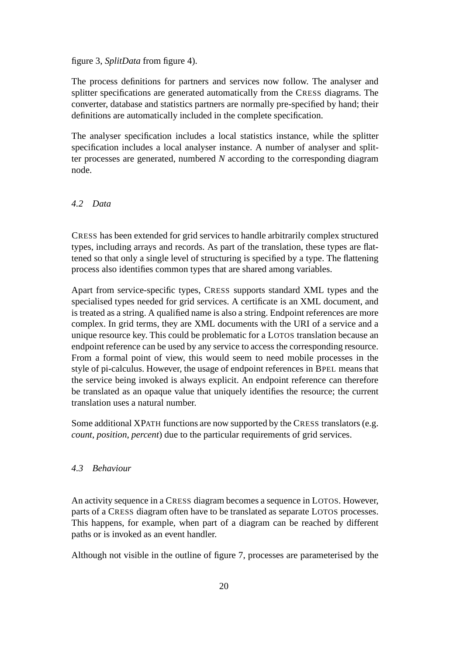#### figure 3, *SplitData* from figure 4).

The process definitions for partners and services now follow. The analyser and splitter specifications are generated automatically from the CRESS diagrams. The converter, database and statistics partners are normally pre-specified by hand; their definitions are automatically included in the complete specification.

The analyser specification includes a local statistics instance, while the splitter specification includes a local analyser instance. A number of analyser and splitter processes are generated, numbered *N* according to the corresponding diagram node.

#### *4.2 Data*

CRESS has been extended for grid services to handle arbitrarily complex structured types, including arrays and records. As part of the translation, these types are flattened so that only a single level of structuring is specified by a type. The flattening process also identifies common types that are shared among variables.

Apart from service-specific types, CRESS supports standard XML types and the specialised types needed for grid services. A certificate is an XML document, and is treated as a string. A qualified name is also a string. Endpoint references are more complex. In grid terms, they are XML documents with the URI of a service and a unique resource key. This could be problematic for a LOTOS translation because an endpoint reference can be used by any service to access the corresponding resource. From a formal point of view, this would seem to need mobile processes in the style of pi-calculus. However, the usage of endpoint references in BPEL means that the service being invoked is always explicit. An endpoint reference can therefore be translated as an opaque value that uniquely identifies the resource; the current translation uses a natural number.

Some additional XPATH functions are now supported by the CRESS translators (e.g. *count*, *position*, *percent*) due to the particular requirements of grid services.

#### *4.3 Behaviour*

An activity sequence in a CRESS diagram becomes a sequence in LOTOS. However, parts of a CRESS diagram often have to be translated as separate LOTOS processes. This happens, for example, when part of a diagram can be reached by different paths or is invoked as an event handler.

Although not visible in the outline of figure 7, processes are parameterised by the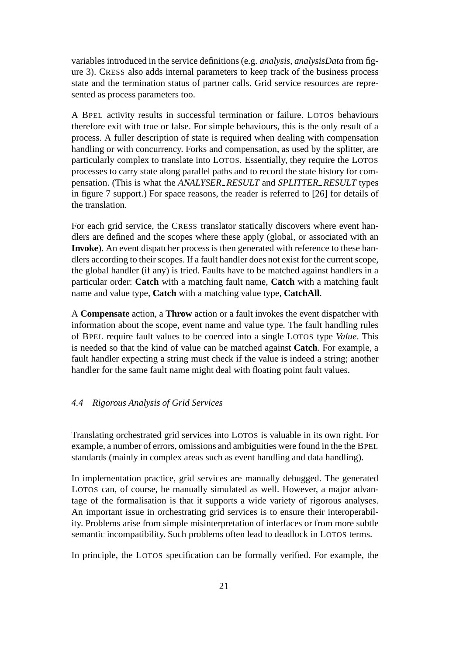variables introduced in the service definitions (e.g. *analysis*, *analysisData* from figure 3). CRESS also adds internal parameters to keep track of the business process state and the termination status of partner calls. Grid service resources are represented as process parameters too.

A BPEL activity results in successful termination or failure. LOTOS behaviours therefore exit with true or false. For simple behaviours, this is the only result of a process. A fuller description of state is required when dealing with compensation handling or with concurrency. Forks and compensation, as used by the splitter, are particularly complex to translate into LOTOS. Essentially, they require the LOTOS processes to carry state along parallel paths and to record the state history for compensation. (This is what the *ANALYSER RESULT* and *SPLITTER RESULT* types in figure 7 support.) For space reasons, the reader is referred to [26] for details of the translation.

For each grid service, the CRESS translator statically discovers where event handlers are defined and the scopes where these apply (global, or associated with an **Invoke**). An event dispatcher process is then generated with reference to these handlers according to their scopes. If a fault handler does not exist for the current scope, the global handler (if any) is tried. Faults have to be matched against handlers in a particular order: **Catch** with a matching fault name, **Catch** with a matching fault name and value type, **Catch** with a matching value type, **CatchAll**.

A **Compensate** action, a **Throw** action or a fault invokes the event dispatcher with information about the scope, event name and value type. The fault handling rules of BPEL require fault values to be coerced into a single LOTOS type *Value*. This is needed so that the kind of value can be matched against **Catch**. For example, a fault handler expecting a string must check if the value is indeed a string; another handler for the same fault name might deal with floating point fault values.

#### *4.4 Rigorous Analysis of Grid Services*

Translating orchestrated grid services into LOTOS is valuable in its own right. For example, a number of errors, omissions and ambiguities were found in the the BPEL standards (mainly in complex areas such as event handling and data handling).

In implementation practice, grid services are manually debugged. The generated LOTOS can, of course, be manually simulated as well. However, a major advantage of the formalisation is that it supports a wide variety of rigorous analyses. An important issue in orchestrating grid services is to ensure their interoperability. Problems arise from simple misinterpretation of interfaces or from more subtle semantic incompatibility. Such problems often lead to deadlock in LOTOS terms.

In principle, the LOTOS specification can be formally verified. For example, the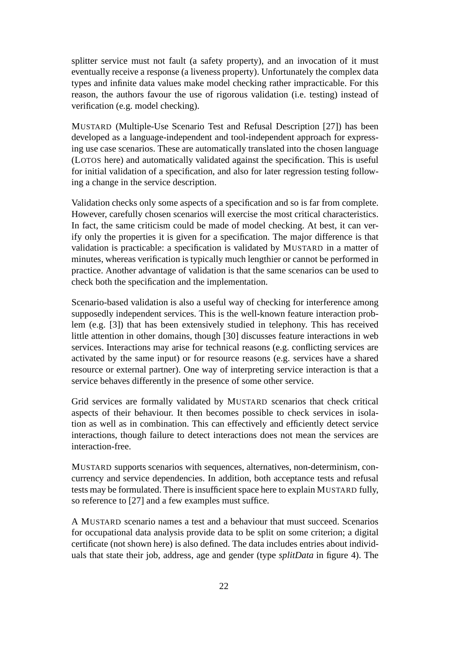splitter service must not fault (a safety property), and an invocation of it must eventually receive a response (a liveness property). Unfortunately the complex data types and infinite data values make model checking rather impracticable. For this reason, the authors favour the use of rigorous validation (i.e. testing) instead of verification (e.g. model checking).

MUSTARD (Multiple-Use Scenario Test and Refusal Description [27]) has been developed as a language-independent and tool-independent approach for expressing use case scenarios. These are automatically translated into the chosen language (LOTOS here) and automatically validated against the specification. This is useful for initial validation of a specification, and also for later regression testing following a change in the service description.

Validation checks only some aspects of a specification and so is far from complete. However, carefully chosen scenarios will exercise the most critical characteristics. In fact, the same criticism could be made of model checking. At best, it can verify only the properties it is given for a specification. The major difference is that validation is practicable: a specification is validated by MUSTARD in a matter of minutes, whereas verification is typically much lengthier or cannot be performed in practice. Another advantage of validation is that the same scenarios can be used to check both the specification and the implementation.

Scenario-based validation is also a useful way of checking for interference among supposedly independent services. This is the well-known feature interaction problem (e.g. [3]) that has been extensively studied in telephony. This has received little attention in other domains, though [30] discusses feature interactions in web services. Interactions may arise for technical reasons (e.g. conflicting services are activated by the same input) or for resource reasons (e.g. services have a shared resource or external partner). One way of interpreting service interaction is that a service behaves differently in the presence of some other service.

Grid services are formally validated by MUSTARD scenarios that check critical aspects of their behaviour. It then becomes possible to check services in isolation as well as in combination. This can effectively and efficiently detect service interactions, though failure to detect interactions does not mean the services are interaction-free.

MUSTARD supports scenarios with sequences, alternatives, non-determinism, concurrency and service dependencies. In addition, both acceptance tests and refusal tests may be formulated. There is insufficient space here to explain MUSTARD fully, so reference to [27] and a few examples must suffice.

A MUSTARD scenario names a test and a behaviour that must succeed. Scenarios for occupational data analysis provide data to be split on some criterion; a digital certificate (not shown here) is also defined. The data includes entries about individuals that state their job, address, age and gender (type *splitData* in figure 4). The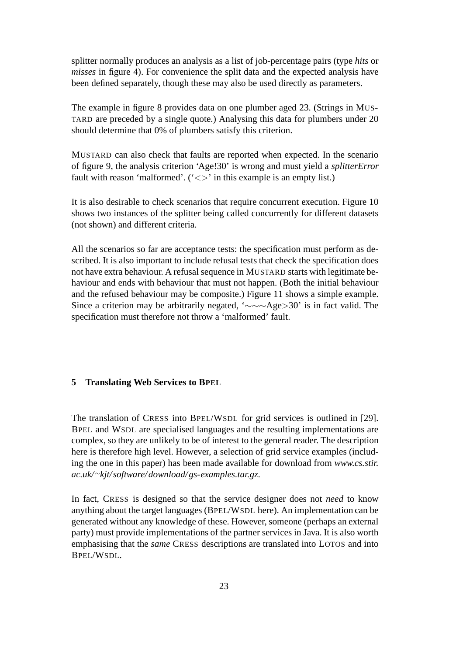splitter normally produces an analysis as a list of job-percentage pairs (type *hits* or *misses* in figure 4). For convenience the split data and the expected analysis have been defined separately, though these may also be used directly as parameters.

The example in figure 8 provides data on one plumber aged 23. (Strings in MUS-TARD are preceded by a single quote.) Analysing this data for plumbers under 20 should determine that 0% of plumbers satisfy this criterion.

MUSTARD can also check that faults are reported when expected. In the scenario of figure 9, the analysis criterion 'Age!30' is wrong and must yield a *splitterError* fault with reason 'malformed'.  $(\leq)$ ' in this example is an empty list.)

It is also desirable to check scenarios that require concurrent execution. Figure 10 shows two instances of the splitter being called concurrently for different datasets (not shown) and different criteria.

All the scenarios so far are acceptance tests: the specification must perform as described. It is also important to include refusal tests that check the specification does not have extra behaviour. A refusal sequence in MUSTARD starts with legitimate behaviour and ends with behaviour that must not happen. (Both the initial behaviour and the refused behaviour may be composite.) Figure 11 shows a simple example. Since a criterion may be arbitrarily negated, '∼∼∼Age>30' is in fact valid. The specification must therefore not throw a 'malformed' fault.

## **5 Translating Web Services to BPEL**

The translation of CRESS into BPEL/WSDL for grid services is outlined in [29]. BPEL and WSDL are specialised languages and the resulting implementations are complex, so they are unlikely to be of interest to the general reader. The description here is therefore high level. However, a selection of grid service examples (including the one in this paper) has been made available for download from *www.cs.stir. ac.uk/* <sup>∼</sup>*kjt/software/download/gs-examples.tar.gz*.

In fact, CRESS is designed so that the service designer does not *need* to know anything about the target languages (BPEL/WSDL here). An implementation can be generated without any knowledge of these. However, someone (perhaps an external party) must provide implementations of the partner services in Java. It is also worth emphasising that the *same* CRESS descriptions are translated into LOTOS and into BPEL/WSDL.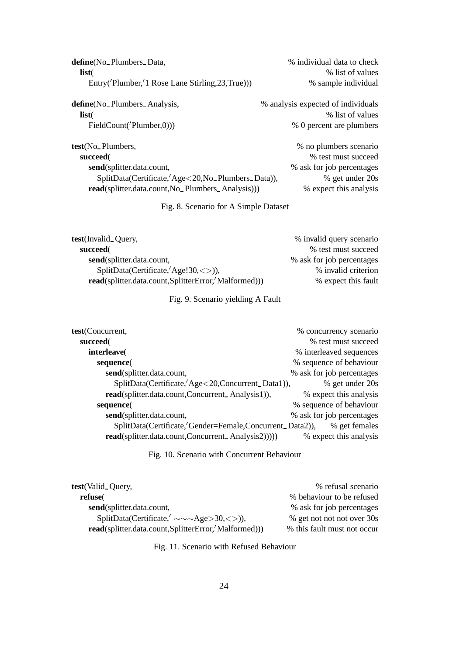| define (No_Plumbers_Data,                         | % individual data to check         |
|---------------------------------------------------|------------------------------------|
| list(                                             | % list of values                   |
| Entry('Plumber,' 1 Rose Lane Stirling, 23, True)) | % sample individual                |
| define (No Plumbers Analysis,                     | % analysis expected of individuals |
| list(                                             | % list of values                   |
| FieldCount('Plumber,0))                           | % 0 percent are plumbers           |
| test(No_Plumbers,                                 | % no plumbers scenario             |
| succeed(                                          | % test must succeed                |
| send(splitter.data.count,                         | % ask for job percentages          |
| SplitData(Certificate,'Age<20,No_Plumbers_Data)), | % get under 20s                    |
| read(splitter.data.count, No_Plumbers_Analysis))) | % expect this analysis             |

Fig. 8. Scenario for A Simple Dataset

| <b>test</b> (Invalid Query,                          | % invalid query scenario  |
|------------------------------------------------------|---------------------------|
| succeed(                                             | % test must succeed       |
| send(splitter.data.count,                            | % ask for job percentages |
| $SplitData(Certificate, 'Age!30,<>)$ ,               | % invalid criterion       |
| read(splitter.data.count,SplitterError,'Malformed))) | % expect this fault       |
|                                                      |                           |

## Fig. 9. Scenario yielding A Fault

| test(Concurrent,                                         | % concurrency scenario    |
|----------------------------------------------------------|---------------------------|
| succeed(                                                 | % test must succeed       |
| interleave(                                              | % interleaved sequences   |
| sequence(                                                | % sequence of behaviour   |
| send(splitter.data.count,                                | % ask for job percentages |
| SplitData(Certificate,'Age<20,Concurrent_Data1)),        | % get under 20s           |
| read(splitter.data.count,Concurrent_Analysis1)),         | % expect this analysis    |
| sequence(                                                | % sequence of behaviour   |
| send(splitter.data.count,                                | % ask for job percentages |
| SplitData(Certificate,'Gender=Female,Concurrent_Data2)), | % get females             |
| read(splitter.data.count,Concurrent_Analysis2)))))       | % expect this analysis    |
|                                                          |                           |

Fig. 10. Scenario with Concurrent Behaviour

| test(Valid_Query,                                            | % refusal scenario          |
|--------------------------------------------------------------|-----------------------------|
| refuse(                                                      | % behaviour to be refused   |
| send(splitter.data.count,                                    | % ask for job percentages   |
| SplitData(Certificate,' $\sim \sim \text{Age} > 30, \lt$ )), | % get not not not over 30s  |
| read(splitter.data.count,SplitterError,'Malformed)))         | % this fault must not occur |

Fig. 11. Scenario with Refused Behaviour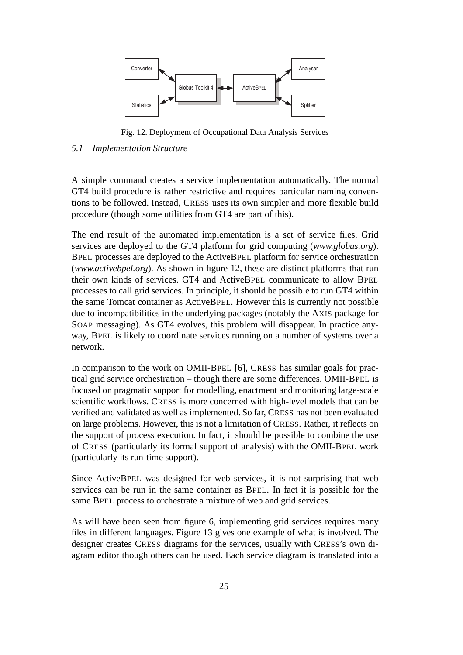

Fig. 12. Deployment of Occupational Data Analysis Services

### *5.1 Implementation Structure*

A simple command creates a service implementation automatically. The normal GT4 build procedure is rather restrictive and requires particular naming conventions to be followed. Instead, CRESS uses its own simpler and more flexible build procedure (though some utilities from GT4 are part of this).

The end result of the automated implementation is a set of service files. Grid services are deployed to the GT4 platform for grid computing (*www.globus.org*). BPEL processes are deployed to the ActiveBPEL platform for service orchestration (*www.activebpel.org*). As shown in figure 12, these are distinct platforms that run their own kinds of services. GT4 and ActiveBPEL communicate to allow BPEL processes to call grid services. In principle, it should be possible to run GT4 within the same Tomcat container as ActiveBPEL. However this is currently not possible due to incompatibilities in the underlying packages (notably the AXIS package for SOAP messaging). As GT4 evolves, this problem will disappear. In practice anyway, BPEL is likely to coordinate services running on a number of systems over a network.

In comparison to the work on OMII-BPEL [6], CRESS has similar goals for practical grid service orchestration – though there are some differences. OMII-BPEL is focused on pragmatic support for modelling, enactment and monitoring large-scale scientific workflows. CRESS is more concerned with high-level models that can be verified and validated as well as implemented. So far, CRESS has not been evaluated on large problems. However, this is not a limitation of CRESS. Rather, it reflects on the support of process execution. In fact, it should be possible to combine the use of CRESS (particularly its formal support of analysis) with the OMII-BPEL work (particularly its run-time support).

Since ActiveBPEL was designed for web services, it is not surprising that web services can be run in the same container as BPEL. In fact it is possible for the same BPEL process to orchestrate a mixture of web and grid services.

As will have been seen from figure 6, implementing grid services requires many files in different languages. Figure 13 gives one example of what is involved. The designer creates CRESS diagrams for the services, usually with CRESS's own diagram editor though others can be used. Each service diagram is translated into a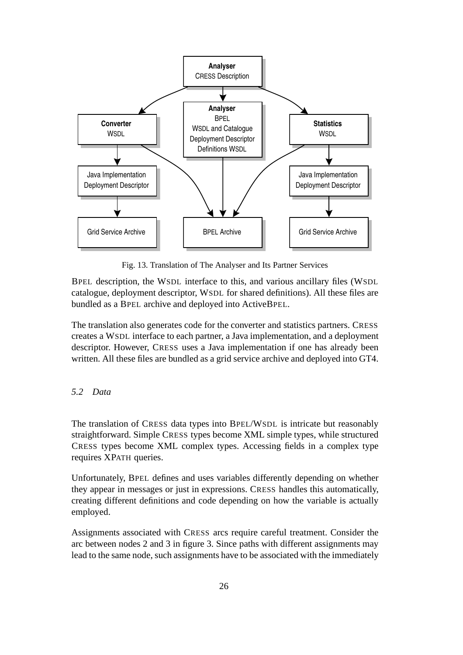

Fig. 13. Translation of The Analyser and Its Partner Services

BPEL description, the WSDL interface to this, and various ancillary files (WSDL catalogue, deployment descriptor, WSDL for shared definitions). All these files are bundled as a BPEL archive and deployed into ActiveBPEL.

The translation also generates code for the converter and statistics partners. CRESS creates a WSDL interface to each partner, a Java implementation, and a deployment descriptor. However, CRESS uses a Java implementation if one has already been written. All these files are bundled as a grid service archive and deployed into GT4.

#### *5.2 Data*

The translation of CRESS data types into BPEL/WSDL is intricate but reasonably straightforward. Simple CRESS types become XML simple types, while structured CRESS types become XML complex types. Accessing fields in a complex type requires XPATH queries.

Unfortunately, BPEL defines and uses variables differently depending on whether they appear in messages or just in expressions. CRESS handles this automatically, creating different definitions and code depending on how the variable is actually employed.

Assignments associated with CRESS arcs require careful treatment. Consider the arc between nodes 2 and 3 in figure 3. Since paths with different assignments may lead to the same node, such assignments have to be associated with the immediately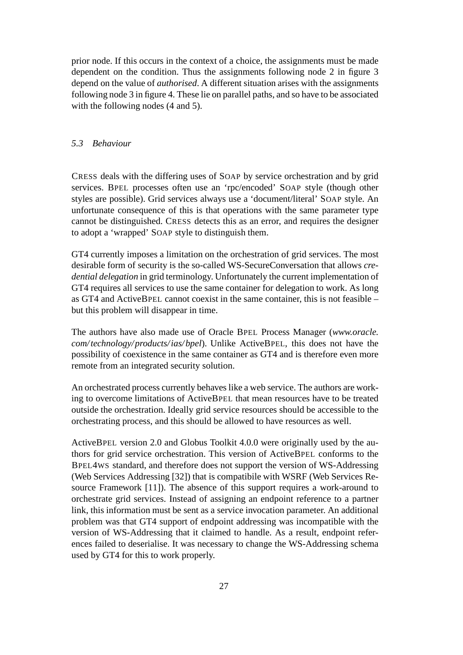prior node. If this occurs in the context of a choice, the assignments must be made dependent on the condition. Thus the assignments following node 2 in figure 3 depend on the value of *authorised*. A different situation arises with the assignments following node 3 in figure 4. These lie on parallel paths, and so have to be associated with the following nodes  $(4 \text{ and } 5)$ .

#### *5.3 Behaviour*

CRESS deals with the differing uses of SOAP by service orchestration and by grid services. BPEL processes often use an 'rpc/encoded' SOAP style (though other styles are possible). Grid services always use a 'document/literal' SOAP style. An unfortunate consequence of this is that operations with the same parameter type cannot be distinguished. CRESS detects this as an error, and requires the designer to adopt a 'wrapped' SOAP style to distinguish them.

GT4 currently imposes a limitation on the orchestration of grid services. The most desirable form of security is the so-called WS-SecureConversation that allows *credential delegation* in grid terminology. Unfortunately the current implementation of GT4 requires all services to use the same container for delegation to work. As long as GT4 and ActiveBPEL cannot coexist in the same container, this is not feasible – but this problem will disappear in time.

The authors have also made use of Oracle BPEL Process Manager (*www.oracle. com/technology/products/ias/bpel*). Unlike ActiveBPEL, this does not have the possibility of coexistence in the same container as GT4 and is therefore even more remote from an integrated security solution.

An orchestrated process currently behaves like a web service. The authors are working to overcome limitations of ActiveBPEL that mean resources have to be treated outside the orchestration. Ideally grid service resources should be accessible to the orchestrating process, and this should be allowed to have resources as well.

ActiveBPEL version 2.0 and Globus Toolkit 4.0.0 were originally used by the authors for grid service orchestration. This version of ActiveBPEL conforms to the BPEL4WS standard, and therefore does not support the version of WS-Addressing (Web Services Addressing [32]) that is compatibile with WSRF (Web Services Resource Framework [11]). The absence of this support requires a work-around to orchestrate grid services. Instead of assigning an endpoint reference to a partner link, this information must be sent as a service invocation parameter. An additional problem was that GT4 support of endpoint addressing was incompatible with the version of WS-Addressing that it claimed to handle. As a result, endpoint references failed to deserialise. It was necessary to change the WS-Addressing schema used by GT4 for this to work properly.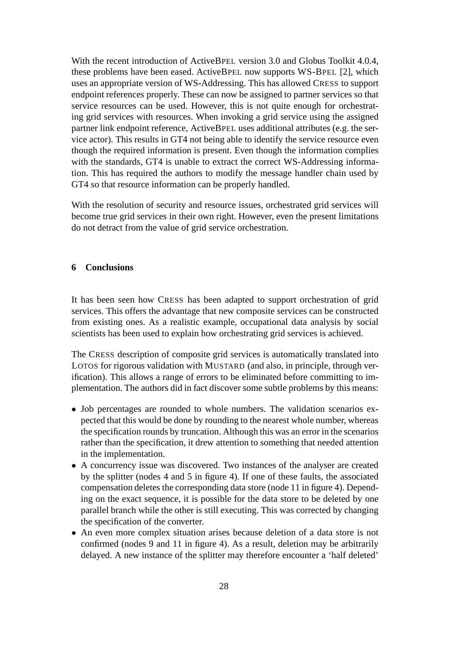With the recent introduction of ActiveBPEL version 3.0 and Globus Toolkit 4.0.4, these problems have been eased. ActiveBPEL now supports WS-BPEL [2], which uses an appropriate version of WS-Addressing. This has allowed CRESS to support endpoint references properly. These can now be assigned to partner services so that service resources can be used. However, this is not quite enough for orchestrating grid services with resources. When invoking a grid service using the assigned partner link endpoint reference, ActiveBPEL uses additional attributes (e.g. the service actor). This results in GT4 not being able to identify the service resource even though the required information is present. Even though the information complies with the standards, GT4 is unable to extract the correct WS-Addressing information. This has required the authors to modify the message handler chain used by GT4 so that resource information can be properly handled.

With the resolution of security and resource issues, orchestrated grid services will become true grid services in their own right. However, even the present limitations do not detract from the value of grid service orchestration.

#### **6 Conclusions**

It has been seen how CRESS has been adapted to support orchestration of grid services. This offers the advantage that new composite services can be constructed from existing ones. As a realistic example, occupational data analysis by social scientists has been used to explain how orchestrating grid services is achieved.

The CRESS description of composite grid services is automatically translated into LOTOS for rigorous validation with MUSTARD (and also, in principle, through verification). This allows a range of errors to be eliminated before committing to implementation. The authors did in fact discover some subtle problems by this means:

- Job percentages are rounded to whole numbers. The validation scenarios expected that this would be done by rounding to the nearest whole number, whereas the specification rounds by truncation. Although this was an error in the scenarios rather than the specification, it drew attention to something that needed attention in the implementation.
- A concurrency issue was discovered. Two instances of the analyser are created by the splitter (nodes 4 and 5 in figure 4). If one of these faults, the associated compensation deletes the corresponding data store (node 11 in figure 4). Depending on the exact sequence, it is possible for the data store to be deleted by one parallel branch while the other is still executing. This was corrected by changing the specification of the converter.
- An even more complex situation arises because deletion of a data store is not confirmed (nodes 9 and 11 in figure 4). As a result, deletion may be arbitrarily delayed. A new instance of the splitter may therefore encounter a 'half deleted'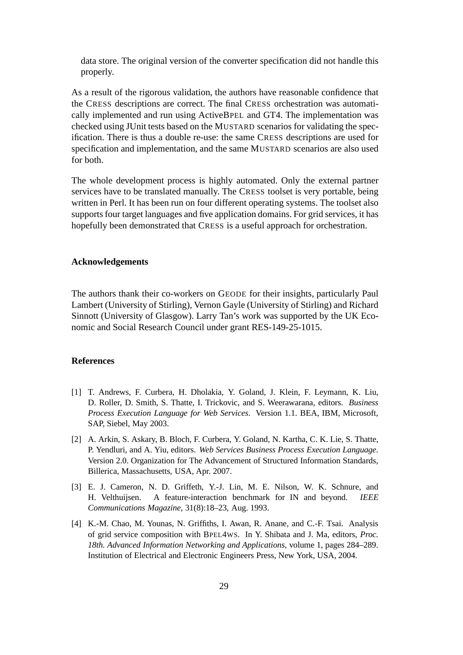data store. The original version of the converter specification did not handle this properly.

As a result of the rigorous validation, the authors have reasonable confidence that the CRESS descriptions are correct. The final CRESS orchestration was automatically implemented and run using ActiveBPEL and GT4. The implementation was checked using JUnit tests based on the MUSTARD scenarios for validating the specification. There is thus a double re-use: the same CRESS descriptions are used for specification and implementation, and the same MUSTARD scenarios are also used for both.

The whole development process is highly automated. Only the external partner services have to be translated manually. The CRESS toolset is very portable, being written in Perl. It has been run on four different operating systems. The toolset also supports four target languages and five application domains. For grid services, it has hopefully been demonstrated that CRESS is a useful approach for orchestration.

#### **Acknowledgements**

The authors thank their co-workers on GEODE for their insights, particularly Paul Lambert (University of Stirling), Vernon Gayle (University of Stirling) and Richard Sinnott (University of Glasgow). Larry Tan's work was supported by the UK Economic and Social Research Council under grant RES-149-25-1015.

#### **References**

- [1] T. Andrews, F. Curbera, H. Dholakia, Y. Goland, J. Klein, F. Leymann, K. Liu, D. Roller, D. Smith, S. Thatte, I. Trickovic, and S. Weerawarana, editors. *Business Process Execution Language for Web Services*. Version 1.1. BEA, IBM, Microsoft, SAP, Siebel, May 2003.
- [2] A. Arkin, S. Askary, B. Bloch, F. Curbera, Y. Goland, N. Kartha, C. K. Lie, S. Thatte, P. Yendluri, and A. Yiu, editors. *Web Services Business Process Execution Language*. Version 2.0. Organization for The Advancement of Structured Information Standards, Billerica, Massachusetts, USA, Apr. 2007.
- [3] E. J. Cameron, N. D. Griffeth, Y.-J. Lin, M. E. Nilson, W. K. Schnure, and H. Velthuijsen. A feature-interaction benchmark for IN and beyond. *IEEE Communications Magazine*, 31(8):18–23, Aug. 1993.
- [4] K.-M. Chao, M. Younas, N. Griffiths, I. Awan, R. Anane, and C.-F. Tsai. Analysis of grid service composition with BPEL4WS. In Y. Shibata and J. Ma, editors, *Proc. 18th. Advanced Information Networking and Applications*, volume 1, pages 284–289. Institution of Electrical and Electronic Engineers Press, New York, USA, 2004.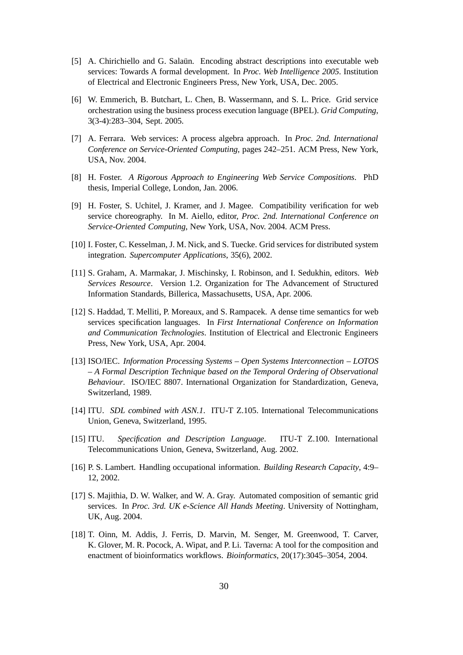- [5] A. Chirichiello and G. Salaün. Encoding abstract descriptions into executable web services: Towards A formal development. In *Proc. Web Intelligence 2005*. Institution of Electrical and Electronic Engineers Press, New York, USA, Dec. 2005.
- [6] W. Emmerich, B. Butchart, L. Chen, B. Wassermann, and S. L. Price. Grid service orchestration using the business process execution language (BPEL). *Grid Computing*, 3(3-4):283–304, Sept. 2005.
- [7] A. Ferrara. Web services: A process algebra approach. In *Proc. 2nd. International Conference on Service-Oriented Computing*, pages 242–251. ACM Press, New York, USA, Nov. 2004.
- [8] H. Foster. *A Rigorous Approach to Engineering Web Service Compositions*. PhD thesis, Imperial College, London, Jan. 2006.
- [9] H. Foster, S. Uchitel, J. Kramer, and J. Magee. Compatibility verification for web service choreography. In M. Aiello, editor, *Proc. 2nd. International Conference on Service-Oriented Computing*, New York, USA, Nov. 2004. ACM Press.
- [10] I. Foster, C. Kesselman, J. M. Nick, and S. Tuecke. Grid services for distributed system integration. *Supercomputer Applications*, 35(6), 2002.
- [11] S. Graham, A. Marmakar, J. Mischinsky, I. Robinson, and I. Sedukhin, editors. *Web Services Resource*. Version 1.2. Organization for The Advancement of Structured Information Standards, Billerica, Massachusetts, USA, Apr. 2006.
- [12] S. Haddad, T. Melliti, P. Moreaux, and S. Rampacek. A dense time semantics for web services specification languages. In *First International Conference on Information and Communication Technologies*. Institution of Electrical and Electronic Engineers Press, New York, USA, Apr. 2004.
- [13] ISO/IEC. *Information Processing Systems Open Systems Interconnection LOTOS – A Formal Description Technique based on the Temporal Ordering of Observational Behaviour*. ISO/IEC 8807. International Organization for Standardization, Geneva, Switzerland, 1989.
- [14] ITU. *SDL combined with ASN.1*. ITU-T Z.105. International Telecommunications Union, Geneva, Switzerland, 1995.
- [15] ITU. *Specification and Description Language*. ITU-T Z.100. International Telecommunications Union, Geneva, Switzerland, Aug. 2002.
- [16] P. S. Lambert. Handling occupational information. *Building Research Capacity*, 4:9– 12, 2002.
- [17] S. Majithia, D. W. Walker, and W. A. Gray. Automated composition of semantic grid services. In *Proc. 3rd. UK e-Science All Hands Meeting*. University of Nottingham, UK, Aug. 2004.
- [18] T. Oinn, M. Addis, J. Ferris, D. Marvin, M. Senger, M. Greenwood, T. Carver, K. Glover, M. R. Pocock, A. Wipat, and P. Li. Taverna: A tool for the composition and enactment of bioinformatics workflows. *Bioinformatics*, 20(17):3045–3054, 2004.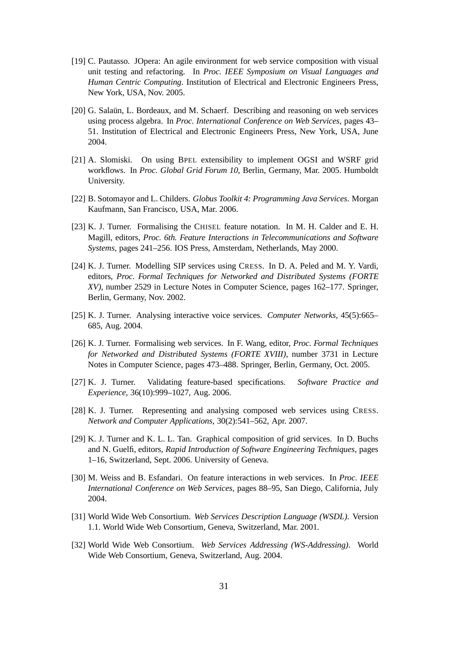- [19] C. Pautasso. JOpera: An agile environment for web service composition with visual unit testing and refactoring. In *Proc. IEEE Symposium on Visual Languages and Human Centric Computing*. Institution of Electrical and Electronic Engineers Press, New York, USA, Nov. 2005.
- [20] G. Salaün, L. Bordeaux, and M. Schaerf. Describing and reasoning on web services using process algebra. In *Proc. International Conference on Web Services*, pages 43– 51. Institution of Electrical and Electronic Engineers Press, New York, USA, June 2004.
- [21] A. Slomiski. On using BPEL extensibility to implement OGSI and WSRF grid workflows. In *Proc. Global Grid Forum 10*, Berlin, Germany, Mar. 2005. Humboldt University.
- [22] B. Sotomayor and L. Childers. *Globus Toolkit 4: Programming Java Services*. Morgan Kaufmann, San Francisco, USA, Mar. 2006.
- [23] K. J. Turner. Formalising the CHISEL feature notation. In M. H. Calder and E. H. Magill, editors, *Proc. 6th. Feature Interactions in Telecommunications and Software Systems*, pages 241–256. IOS Press, Amsterdam, Netherlands, May 2000.
- [24] K. J. Turner. Modelling SIP services using CRESS. In D. A. Peled and M. Y. Vardi, editors, *Proc. Formal Techniques for Networked and Distributed Systems (FORTE XV)*, number 2529 in Lecture Notes in Computer Science, pages 162–177. Springer, Berlin, Germany, Nov. 2002.
- [25] K. J. Turner. Analysing interactive voice services. *Computer Networks*, 45(5):665– 685, Aug. 2004.
- [26] K. J. Turner. Formalising web services. In F. Wang, editor, *Proc. Formal Techniques for Networked and Distributed Systems (FORTE XVIII)*, number 3731 in Lecture Notes in Computer Science, pages 473–488. Springer, Berlin, Germany, Oct. 2005.
- [27] K. J. Turner. Validating feature-based specifications. *Software Practice and Experience*, 36(10):999–1027, Aug. 2006.
- [28] K. J. Turner. Representing and analysing composed web services using CRESS. *Network and Computer Applications*, 30(2):541–562, Apr. 2007.
- [29] K. J. Turner and K. L. L. Tan. Graphical composition of grid services. In D. Buchs and N. Guelfi, editors, *Rapid Introduction of Software Engineering Techniques*, pages 1–16, Switzerland, Sept. 2006. University of Geneva.
- [30] M. Weiss and B. Esfandari. On feature interactions in web services. In *Proc. IEEE International Conference on Web Services*, pages 88–95, San Diego, California, July 2004.
- [31] World Wide Web Consortium. *Web Services Description Language (WSDL)*. Version 1.1. World Wide Web Consortium, Geneva, Switzerland, Mar. 2001.
- [32] World Wide Web Consortium. *Web Services Addressing (WS-Addressing)*. World Wide Web Consortium, Geneva, Switzerland, Aug. 2004.